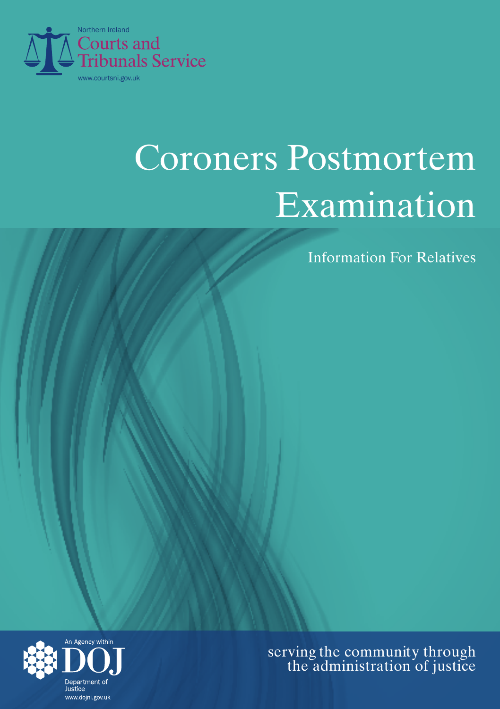

# Coroners Postmortem Examination

**Information For Relatives** 



 serving the community through the administration of justice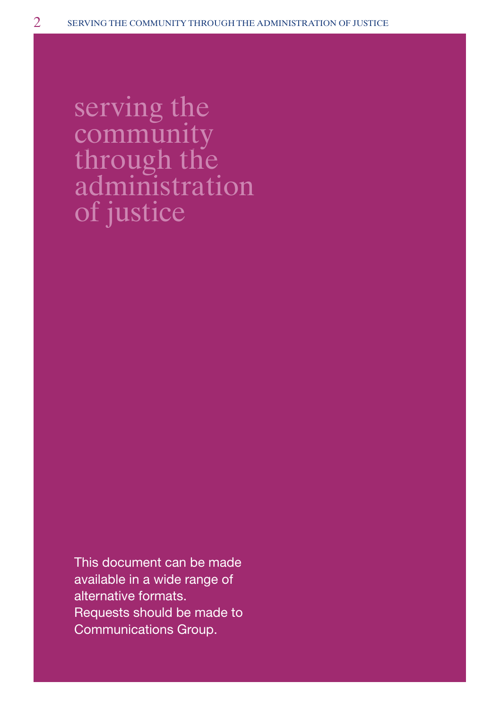thr administration serving the community the community through the<br>administratio<br>of justice

This document can be made available in a wide range of alternative formats. Requests should be made to Communications Group.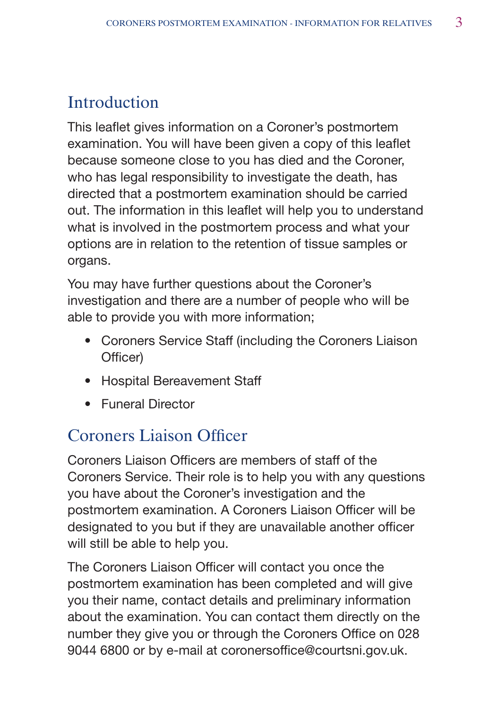# Introduction

This leaflet gives information on a Coroner's postmortem examination. You will have been given a copy of this leaflet because someone close to you has died and the Coroner, who has legal responsibility to investigate the death, has directed that a postmortem examination should be carried out. The information in this leaflet will help you to understand what is involved in the postmortem process and what your options are in relation to the retention of tissue samples or organs.

You may have further questions about the Coroner's investigation and there are a number of people who will be able to provide you with more information;

- Coroners Service Staff (including the Coroners Liaison Officer)
- Hospital Bereavement Staff
- • � Funeral Director

## Coroners liaison officer

Coroners Liaison Officers are members of staff of the Coroners Service. Their role is to help you with any questions you have about the Coroner's investigation and the postmortem examination. A Coroners Liaison Officer will be designated to you but if they are unavailable another officer will still be able to help you.

The Coroners Liaison Officer will contact you once the postmortem examination has been completed and will give you their name, contact details and preliminary information about the examination. You can contact them directly on the number they give you or through the Coroners Office on 028 9044 6800 or by e-mail at coronersoffice@courtsni.gov.uk.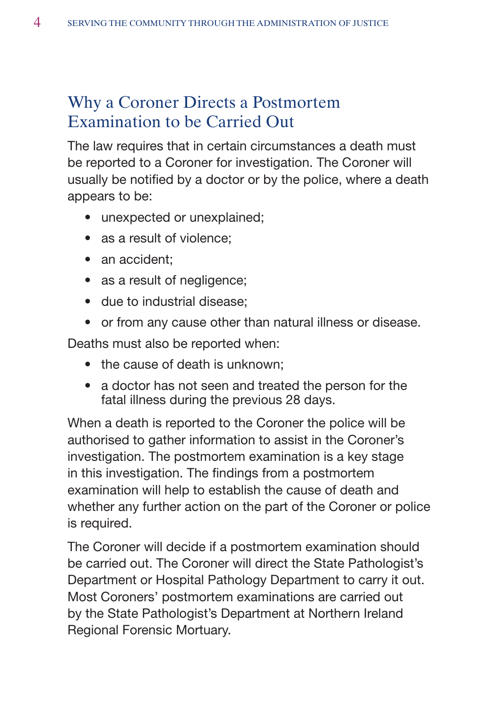## Why a Coroner Directs a Postmortem Examination to be Carried Out

The law requires that in certain circumstances a death must be reported to a Coroner for investigation. The Coroner will usually be notified by a doctor or by the police, where a death appears to be:

- unexpected or unexplained;
- as a result of violence:
- an accident:
- as a result of negligence;
- due to industrial disease:
- or from any cause other than natural illness or disease.

Deaths must also be reported when:

- the cause of death is unknown;
- a doctor has not seen and treated the person for the fatal illness during the previous 28 days.

When a death is reported to the Coroner the police will be authorised to gather information to assist in the Coroner's investigation. The postmortem examination is a key stage in this investigation. The findings from a postmortem examination will help to establish the cause of death and whether any further action on the part of the Coroner or police is required.

The Coroner will decide if a postmortem examination should be carried out. The Coroner will direct the State Pathologist's Department or Hospital Pathology Department to carry it out. Most Coroners' postmortem examinations are carried out by the State Pathologist's Department at Northern Ireland Regional Forensic Mortuary.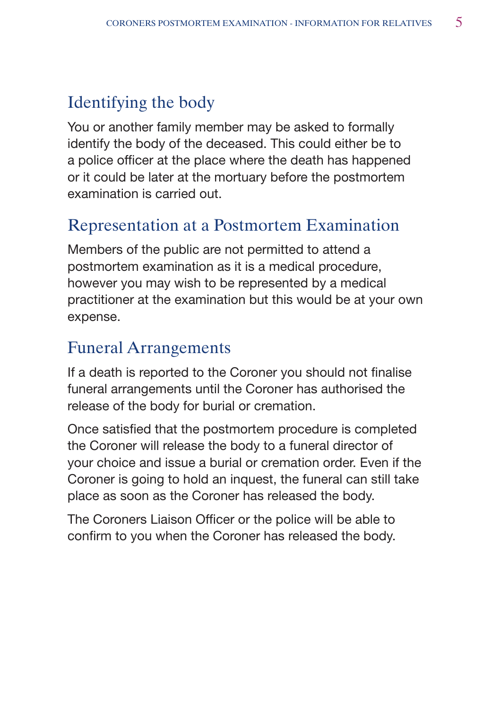## Identifying the body

You or another family member may be asked to formally identify the body of the deceased. This could either be to a police officer at the place where the death has happened or it could be later at the mortuary before the postmortem examination is carried out.

## Representation at a Postmortem Examination

Members of the public are not permitted to attend a postmortem examination as it is a medical procedure, however you may wish to be represented by a medical practitioner at the examination but this would be at your own expense.

#### **Funeral Arrangements**

If a death is reported to the Coroner you should not finalise funeral arrangements until the Coroner has authorised the release of the body for burial or cremation.

Once satisfied that the postmortem procedure is completed the Coroner will release the body to a funeral director of your choice and issue a burial or cremation order. Even if the Coroner is going to hold an inquest, the funeral can still take place as soon as the Coroner has released the body.

The Coroners Liaison Officer or the police will be able to confirm to you when the Coroner has released the body.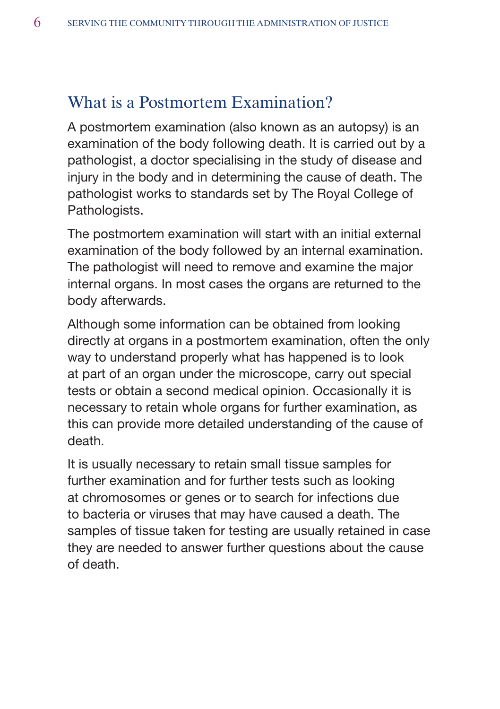#### What is a Postmortem Examination?

A postmortem examination (also known as an autopsy) is an examination of the body following death. It is carried out by a pathologist, a doctor specialising in the study of disease and injury in the body and in determining the cause of death. The pathologist works to standards set by The Royal College of Pathologists.

The postmortem examination will start with an initial external examination of the body followed by an internal examination. The pathologist will need to remove and examine the major internal organs. In most cases the organs are returned to the body afterwards.

Although some information can be obtained from looking directly at organs in a postmortem examination, often the only way to understand properly what has happened is to look at part of an organ under the microscope, carry out special tests or obtain a second medical opinion. Occasionally it is necessary to retain whole organs for further examination, as this can provide more detailed understanding of the cause of death.

It is usually necessary to retain small tissue samples for further examination and for further tests such as looking at chromosomes or genes or to search for infections due to bacteria or viruses that may have caused a death. The samples of tissue taken for testing are usually retained in case they are needed to answer further questions about the cause of death.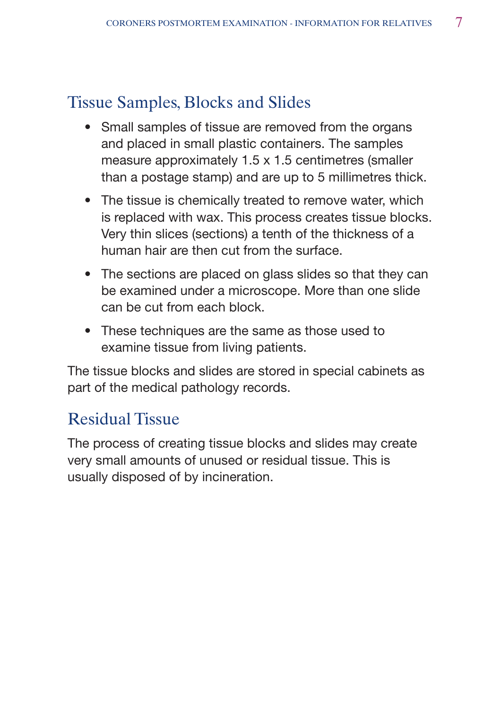# Tissue Samples, Blocks and Slides

- Small samples of tissue are removed from the organs and placed in small plastic containers. The samples measure approximately 1.5 x 1.5 centimetres (smaller than a postage stamp) and are up to 5 millimetres thick.
- The tissue is chemically treated to remove water, which is replaced with wax. This process creates tissue blocks. Very thin slices (sections) a tenth of the thickness of a human hair are then cut from the surface.
- The sections are placed on glass slides so that they can be examined under a microscope. More than one slide can be cut from each block.
- These techniques are the same as those used to examine tissue from living patients.

The tissue blocks and slides are stored in special cabinets as part of the medical pathology records.

## Residual Tissue

The process of creating tissue blocks and slides may create very small amounts of unused or residual tissue. This is usually disposed of by incineration.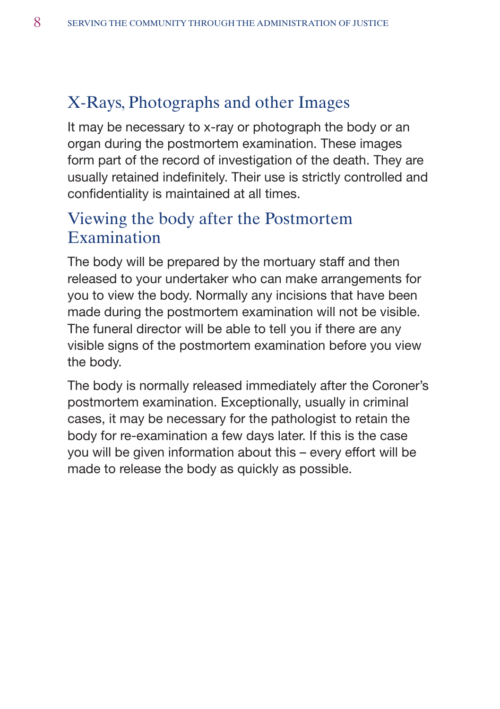## X-Rays, Photographs and other Images

It may be necessary to x-ray or photograph the body or an organ during the postmortem examination. These images form part of the record of investigation of the death. They are usually retained indefinitely. Their use is strictly controlled and confidentiality is maintained at all times.

#### viewing the body after the Postmortem Examination

The body will be prepared by the mortuary staff and then released to your undertaker who can make arrangements for you to view the body. Normally any incisions that have been made during the postmortem examination will not be visible. The funeral director will be able to tell you if there are any visible signs of the postmortem examination before you view the body.

The body is normally released immediately after the Coroner's postmortem examination. Exceptionally, usually in criminal cases, it may be necessary for the pathologist to retain the body for re-examination a few days later. If this is the case you will be given information about this – every effort will be made to release the body as quickly as possible.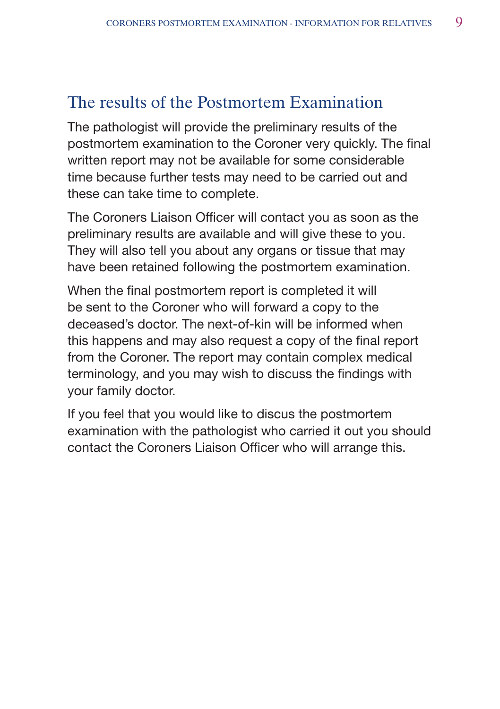## The results of the Postmortem Examination

The pathologist will provide the preliminary results of the postmortem examination to the Coroner very quickly. The final written report may not be available for some considerable time because further tests may need to be carried out and these can take time to complete.

The Coroners Liaison Officer will contact you as soon as the preliminary results are available and will give these to you. They will also tell you about any organs or tissue that may have been retained following the postmortem examination.

When the final postmortem report is completed it will be sent to the Coroner who will forward a copy to the deceased's doctor. The next-of-kin will be informed when this happens and may also request a copy of the final report from the Coroner. The report may contain complex medical terminology, and you may wish to discuss the findings with your family doctor.

If you feel that you would like to discus the postmortem examination with the pathologist who carried it out you should contact the Coroners Liaison Officer who will arrange this.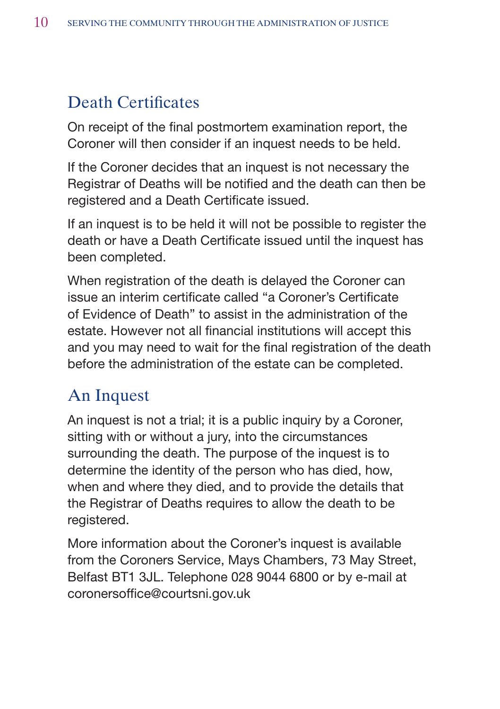# Death Certificates

On receipt of the final postmortem examination report, the Coroner will then consider if an inquest needs to be held.

If the Coroner decides that an inquest is not necessary the Registrar of Deaths will be notified and the death can then be registered and a Death Certificate issued.

If an inquest is to be held it will not be possible to register the death or have a Death Certificate issued until the inquest has been completed.

When registration of the death is delayed the Coroner can issue an interim certificate called "a Coroner's Certificate of Evidence of Death" to assist in the administration of the estate. However not all financial institutions will accept this and you may need to wait for the final registration of the death before the administration of the estate can be completed.

## **An Inquest**

An inquest is not a trial; it is a public inquiry by a Coroner, sitting with or without a jury, into the circumstances surrounding the death. The purpose of the inquest is to determine the identity of the person who has died, how, when and where they died, and to provide the details that the Registrar of Deaths requires to allow the death to be registered.

More information about the Coroner's inquest is available from the Coroners Service, Mays Chambers, 73 May Street, Belfast BT1 3JL. Telephone 028 9044 6800 or by e-mail at coronersoffice@courtsni.gov.uk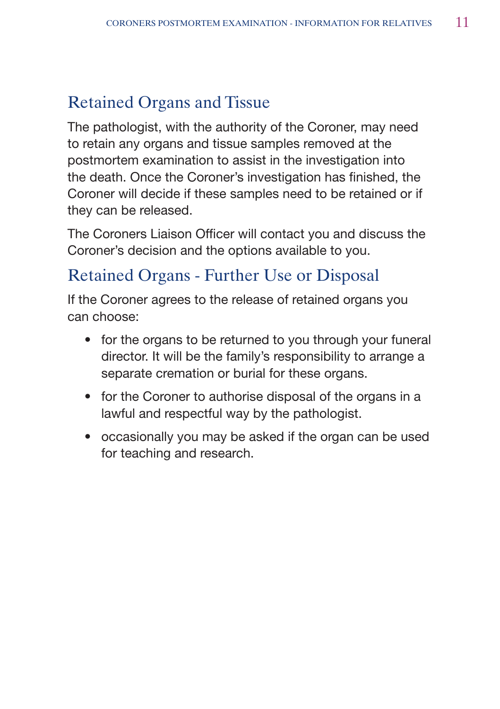# **Retained Organs and Tissue**

The pathologist, with the authority of the Coroner, may need to retain any organs and tissue samples removed at the postmortem examination to assist in the investigation into the death. Once the Coroner's investigation has finished, the Coroner will decide if these samples need to be retained or if they can be released.

The Coroners Liaison Officer will contact you and discuss the Coroner's decision and the options available to you.

## Retained Organs - Further Use or Disposal

If the Coroner agrees to the release of retained organs you can choose:

- for the organs to be returned to you through your funeral director. It will be the family's responsibility to arrange a separate cremation or burial for these organs.
- for the Coroner to authorise disposal of the organs in a lawful and respectful way by the pathologist.
- occasionally you may be asked if the organ can be used for teaching and research.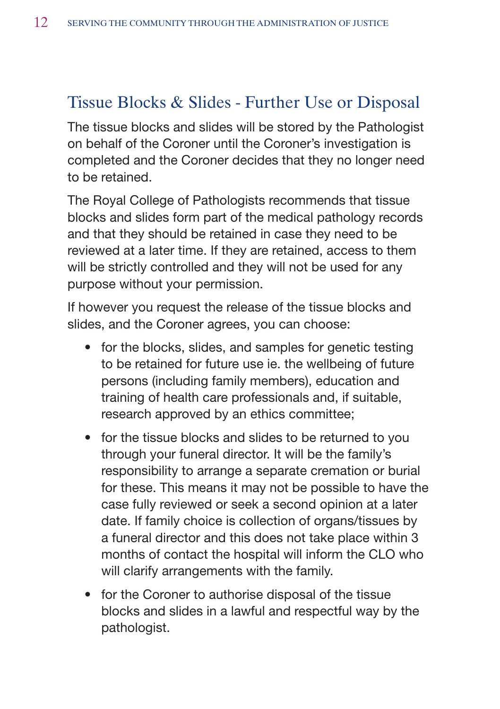## Tissue Blocks & Slides - Further Use or Disposal

The tissue blocks and slides will be stored by the Pathologist on behalf of the Coroner until the Coroner's investigation is completed and the Coroner decides that they no longer need to be retained.

The Royal College of Pathologists recommends that tissue blocks and slides form part of the medical pathology records and that they should be retained in case they need to be reviewed at a later time. If they are retained, access to them will be strictly controlled and they will not be used for any purpose without your permission.

If however you request the release of the tissue blocks and slides, and the Coroner agrees, you can choose:

- for the blocks, slides, and samples for genetic testing to be retained for future use ie. the wellbeing of future persons (including family members), education and training of health care professionals and, if suitable, research approved by an ethics committee;
- for the tissue blocks and slides to be returned to you through your funeral director. It will be the family's responsibility to arrange a separate cremation or burial for these. This means it may not be possible to have the case fully reviewed or seek a second opinion at a later date. If family choice is collection of organs/tissues by a funeral director and this does not take place within 3 months of contact the hospital will inform the CLO who will clarify arrangements with the family.
- for the Coroner to authorise disposal of the tissue blocks and slides in a lawful and respectful way by the pathologist.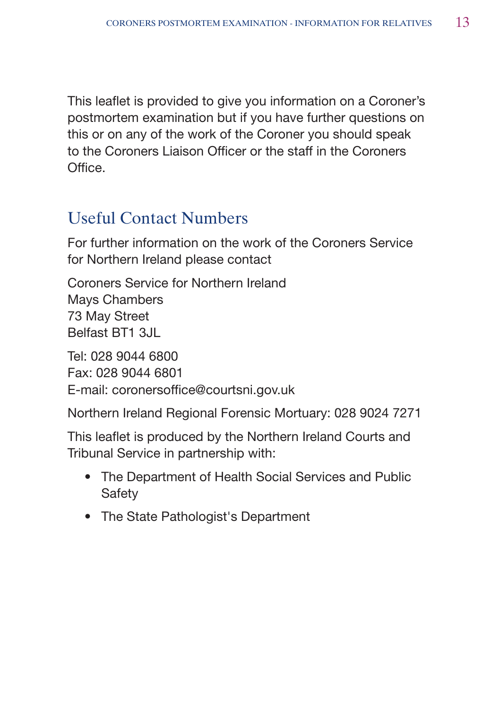This leaflet is provided to give you information on a Coroner's postmortem examination but if you have further questions on this or on any of the work of the Coroner you should speak to the Coroners Liaison Officer or the staff in the Coroners Office.

## **Useful Contact Numbers**

For further information on the work of the Coroners Service for Northern Ireland please contact

Coroners Service for Northern Ireland Mays Chambers 73 May Street Belfast BT1 3JL

Tel: 028 9044 6800 Fax: 028 9044 6801 E-mail: coronersoffice@courtsni.gov.uk

Northern Ireland Regional Forensic Mortuary: 028 9024 7271

This leaflet is produced by the Northern Ireland Courts and Tribunal Service in partnership with:

- The Department of Health Social Services and Public Safety
- The State Pathologist's Department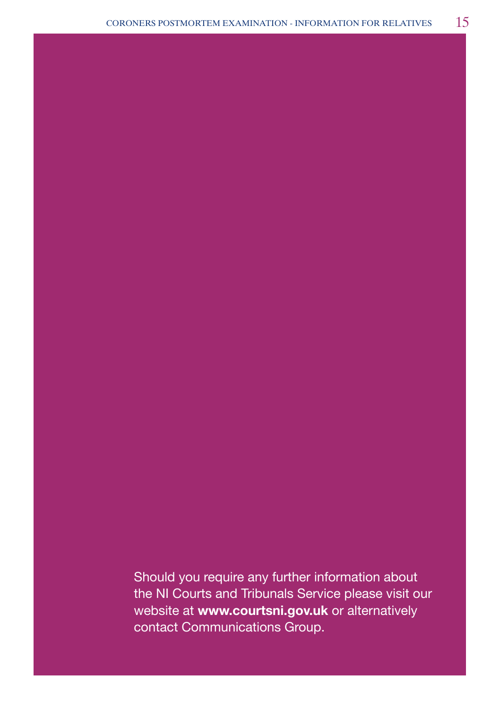Should you require any further information about the NI Courts and Tribunals Service please visit our website at **www.courtsni.gov.uk** or alternatively contact Communications Group.